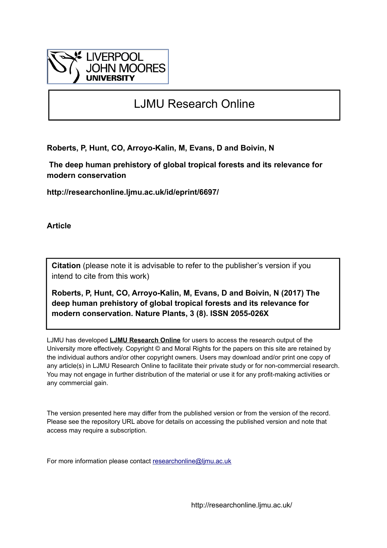

# LJMU Research Online

**Roberts, P, Hunt, CO, Arroyo-Kalin, M, Evans, D and Boivin, N**

 **The deep human prehistory of global tropical forests and its relevance for modern conservation**

**http://researchonline.ljmu.ac.uk/id/eprint/6697/**

**Article**

**Citation** (please note it is advisable to refer to the publisher's version if you intend to cite from this work)

**Roberts, P, Hunt, CO, Arroyo-Kalin, M, Evans, D and Boivin, N (2017) The deep human prehistory of global tropical forests and its relevance for modern conservation. Nature Plants, 3 (8). ISSN 2055-026X** 

LJMU has developed **[LJMU Research Online](http://researchonline.ljmu.ac.uk/)** for users to access the research output of the University more effectively. Copyright © and Moral Rights for the papers on this site are retained by the individual authors and/or other copyright owners. Users may download and/or print one copy of any article(s) in LJMU Research Online to facilitate their private study or for non-commercial research. You may not engage in further distribution of the material or use it for any profit-making activities or any commercial gain.

The version presented here may differ from the published version or from the version of the record. Please see the repository URL above for details on accessing the published version and note that access may require a subscription.

For more information please contact [researchonline@ljmu.ac.uk](mailto:researchonline@ljmu.ac.uk)

http://researchonline.ljmu.ac.uk/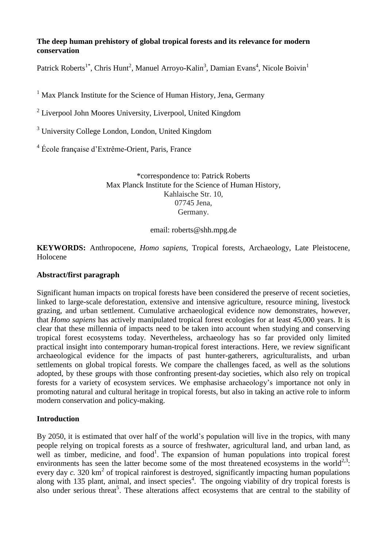# **The deep human prehistory of global tropical forests and its relevance for modern conservation**

Patrick Roberts<sup>1\*</sup>, Chris Hunt<sup>2</sup>, Manuel Arroyo-Kalin<sup>3</sup>, Damian Evans<sup>4</sup>, Nicole Boivin<sup>1</sup>

 $<sup>1</sup>$  Max Planck Institute for the Science of Human History, Jena, Germany</sup>

<sup>2</sup> Liverpool John Moores University, Liverpool, United Kingdom

<sup>3</sup> University College London, London, United Kingdom

4 École française d'Extrême-Orient, Paris, France

\*correspondence to: Patrick Roberts Max Planck Institute for the Science of Human History, Kahlaische Str. 10, 07745 Jena, Germany.

email: roberts@shh.mpg.de

**KEYWORDS:** Anthropocene, *Homo sapiens*, Tropical forests, Archaeology, Late Pleistocene, Holocene

### **Abstract/first paragraph**

Significant human impacts on tropical forests have been considered the preserve of recent societies, linked to large-scale deforestation, extensive and intensive agriculture, resource mining, livestock grazing, and urban settlement. Cumulative archaeological evidence now demonstrates, however, that *Homo sapiens* has actively manipulated tropical forest ecologies for at least 45,000 years. It is clear that these millennia of impacts need to be taken into account when studying and conserving tropical forest ecosystems today. Nevertheless, archaeology has so far provided only limited practical insight into contemporary human-tropical forest interactions. Here, we review significant archaeological evidence for the impacts of past hunter-gatherers, agriculturalists, and urban settlements on global tropical forests. We compare the challenges faced, as well as the solutions adopted, by these groups with those confronting present-day societies, which also rely on tropical forests for a variety of ecosystem services. We emphasise archaeology's importance not only in promoting natural and cultural heritage in tropical forests, but also in taking an active role to inform modern conservation and policy-making.

### **Introduction**

By 2050, it is estimated that over half of the world's population will live in the tropics, with many people relying on tropical forests as a source of freshwater, agricultural land, and urban land, as well as timber, medicine, and food<sup>1</sup>. The expansion of human populations into tropical forest environments has seen the latter become some of the most threatened ecosystems in the world<sup>2,3</sup>: every day  $c$ . 320  $\text{km}^2$  of tropical rainforest is destroyed, significantly impacting human populations along with 135 plant, animal, and insect species<sup>4</sup>. The ongoing viability of dry tropical forests is also under serious threat<sup>5</sup>. These alterations affect ecosystems that are central to the stability of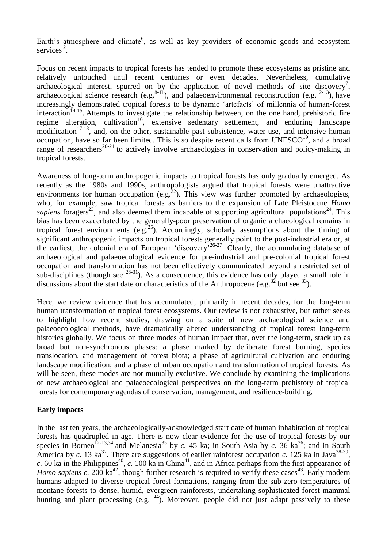Earth's atmosphere and climate<sup>6</sup>, as well as key providers of economic goods and ecosystem services<sup>2</sup>.

Focus on recent impacts to tropical forests has tended to promote these ecosystems as pristine and relatively untouched until recent centuries or even decades. Nevertheless, cumulative archaeological interest, spurred on by the application of novel methods of site discovery<sup>7</sup>, archaeological science research (e.g. $^{8-11}$ ), and palaeoenvironmental reconstruction (e.g. $^{12-13}$ ), have increasingly demonstrated tropical forests to be dynamic 'artefacts' of millennia of human-forest interaction<sup>14-15</sup>. Attempts to investigate the relationship between, on the one hand, prehistoric fire regime alteration, cultivation<sup>16</sup>, extensive sedentary settlement, and enduring landscape modification<sup>17-18</sup>, and, on the other, sustainable past subsistence, water-use, and intensive human occupation, have so far been limited. This is so despite recent calls from  $UNESCO<sup>19</sup>$ , and a broad range of researchers<sup>20-21</sup> to actively involve archaeologists in conservation and policy-making in tropical forests.

Awareness of long-term anthropogenic impacts to tropical forests has only gradually emerged. As recently as the 1980s and 1990s, anthropologists argued that tropical forests were unattractive environments for human occupation (e.g.<sup>22</sup>). This view was further promoted by archaeologists, who, for example, saw tropical forests as barriers to the expansion of Late Pleistocene *Homo*  sapiens foragers<sup>23</sup>, and also deemed them incapable of supporting agricultural populations<sup>24</sup>. This bias has been exacerbated by the generally-poor preservation of organic archaeological remains in tropical forest environments (e.g.<sup>25</sup>). Accordingly, scholarly assumptions about the timing of significant anthropogenic impacts on tropical forests generally point to the post-industrial era or, at the earliest, the colonial era of European 'discovery'<sup>26-27</sup>. Clearly, the accumulating database of archaeological and palaeoecological evidence for pre-industrial and pre-colonial tropical forest occupation and transformation has not been effectively communicated beyond a restricted set of sub-disciplines (though see  $^{28-31}$ ). As a consequence, this evidence has only played a small role in discussions about the start date or characteristics of the Anthropocene (e.g.  $^{32}$  but see  $^{33}$ ).

Here, we review evidence that has accumulated, primarily in recent decades, for the long-term human transformation of tropical forest ecosystems. Our review is not exhaustive, but rather seeks to highlight how recent studies, drawing on a suite of new archaeological science and palaeoecological methods, have dramatically altered understanding of tropical forest long-term histories globally. We focus on three modes of human impact that, over the long-term, stack up as broad but non-synchronous phases: a phase marked by deliberate forest burning, species translocation, and management of forest biota; a phase of agricultural cultivation and enduring landscape modification; and a phase of urban occupation and transformation of tropical forests. As will be seen, these modes are not mutually exclusive. We conclude by examining the implications of new archaeological and palaeoecological perspectives on the long-term prehistory of tropical forests for contemporary agendas of conservation, management, and resilience-building.

# **Early impacts**

In the last ten years, the archaeologically-acknowledged start date of human inhabitation of tropical forests has quadrupled in age. There is now clear evidence for the use of tropical forests by our species in Borneo<sup>12-13,34</sup> and Melanesia<sup>35</sup> by *c*. 45 ka; in South Asia by *c*. 36 ka<sup>36</sup>; and in South America by *c.* 13 ka<sup>37</sup>. There are suggestions of earlier rainforest occupation *c*. 125 ka in Java<sup>38-39</sup>,  $c. 60$  ka in the Philippines<sup>40</sup>,  $c. 100$  ka in China<sup>41</sup>, and in Africa perhaps from the first appearance of *Homo sapiens c.* 200 ka<sup>42</sup>, though further research is required to verify these cases<sup>43</sup>. Early modern humans adapted to diverse tropical forest formations, ranging from the sub-zero temperatures of montane forests to dense, humid, evergreen rainforests, undertaking sophisticated forest mammal hunting and plant processing (e.g.  $44$ ). Moreover, people did not just adapt passively to these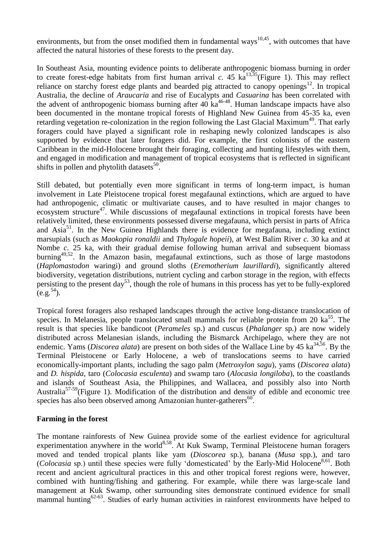environments, but from the onset modified them in fundamental ways $10,45$ , with outcomes that have affected the natural histories of these forests to the present day.

In Southeast Asia, mounting evidence points to deliberate anthropogenic biomass burning in order to create forest-edge habitats from first human arrival  $c$ . 45 ka<sup>13,35</sup> (Figure 1). This may reflect reliance on starchy forest edge plants and bearded pig attracted to canopy openings<sup>12</sup>. In tropical Australia, the decline of *Araucaria* and rise of Eucalypts and *Casuarina* has been correlated with the advent of anthropogenic biomass burning after  $40 \text{ ka}^{46-48}$ . Human landscape impacts have also been documented in the montane tropical forests of Highland New Guinea from 45-35 ka, even retarding vegetation re-colonization in the region following the Last Glacial Maximum<sup>49</sup>. That early foragers could have played a significant role in reshaping newly colonized landscapes is also supported by evidence that later foragers did. For example, the first colonists of the eastern Caribbean in the mid-Holocene brought their foraging, collecting and hunting lifestyles with them, and engaged in modification and management of tropical ecosystems that is reflected in significant shifts in pollen and phytolith datasets<sup>50</sup>.

Still debated, but potentially even more significant in terms of long-term impact, is human involvement in Late Pleistocene tropical forest megafaunal extinctions, which are argued to have had anthropogenic, climatic or multivariate causes, and to have resulted in major changes to ecosystem structure<sup>47</sup>. While discussions of megafaunal extinctions in tropical forests have been relatively limited, these environments possessed diverse megafauna, which persist in parts of Africa and Asia<sup>51</sup>. In the New Guinea Highlands there is evidence for megafauna, including extinct marsupials (such as *Maokopia ronaldii* and *Thylogale hopeii*), at West Balim River *c.* 30 ka and at Nombe *c.* 25 ka, with their gradual demise following human arrival and subsequent biomass burning<sup>49,52</sup>. In the Amazon basin, megafaunal extinctions, such as those of large mastodons (*Haplomastodon* waringi) and ground sloths (*Eremotherium laurillardi*), significantly altered biodiversity, vegetation distributions, nutrient cycling and carbon storage in the region, with effects persisting to the present day<sup>53</sup>, though the role of humans in this process has yet to be fully-explored  $(e.g. <sup>54</sup>)$ .

Tropical forest foragers also reshaped landscapes through the active long-distance translocation of species. In Melanesia, people translocated small mammals for reliable protein from 20  $\text{ka}^{55}$ . The result is that species like bandicoot (*Perameles* sp.) and cuscus (*Phalanger* sp.) are now widely distributed across Melanesian islands, including the Bismarck Archipelago, where they are not endemic. Yams (*Discorea alata*) are present on both sides of the Wallace Line by 45 ka<sup>34,56</sup>. By the Terminal Pleistocene or Early Holocene, a web of translocations seems to have carried economically-important plants, including the sago palm (*Metroxylon sagu*), yams (*Discorea alata*) and *D. hispida*, taro (*Colocasia esculenta*) and swamp taro (*Alocasia longiloba*), to the coastlands and islands of Southeast Asia, the Philippines, and Wallacea, and possibly also into North Australia57-59(Figure 1). Modification of the distribution and density of edible and economic tree species has also been observed among Amazonian hunter-gatherers $^{60}$ .

### **Farming in the forest**

The montane rainforests of New Guinea provide some of the earliest evidence for agricultural experimentation anywhere in the world $8.58$ . At Kuk Swamp, Terminal Pleistocene human foragers moved and tended tropical plants like yam (*Dioscorea* sp.), banana (*Musa* spp.), and taro (*Colocasia* sp.) until these species were fully 'domesticated' by the Early-Mid Holocene<sup>8,61</sup>. Both recent and ancient agricultural practices in this and other tropical forest regions were, however, combined with hunting/fishing and gathering. For example, while there was large-scale land management at Kuk Swamp, other surrounding sites demonstrate continued evidence for small mammal hunting<sup>62-63</sup>. Studies of early human activities in rainforest environments have helped to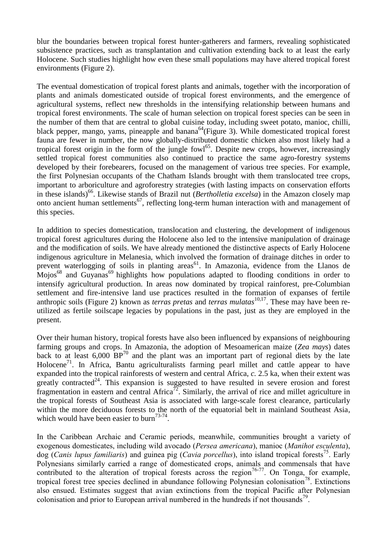blur the boundaries between tropical forest hunter-gatherers and farmers, revealing sophisticated subsistence practices, such as transplantation and cultivation extending back to at least the early Holocene. Such studies highlight how even these small populations may have altered tropical forest environments (Figure 2).

The eventual domestication of tropical forest plants and animals, together with the incorporation of plants and animals domesticated outside of tropical forest environments, and the emergence of agricultural systems, reflect new thresholds in the intensifying relationship between humans and tropical forest environments. The scale of human selection on tropical forest species can be seen in the number of them that are central to global cuisine today, including sweet potato, manioc, chilli, black pepper, mango, yams, pineapple and banana<sup>64</sup>(Figure 3). While domesticated tropical forest fauna are fewer in number, the now globally-distributed domestic chicken also most likely had a tropical forest origin in the form of the jungle fowl<sup>65</sup>. Despite new crops, however, increasingly settled tropical forest communities also continued to practice the same agro-forestry systems developed by their forebearers, focused on the management of various tree species. For example, the first Polynesian occupants of the Chatham Islands brought with them translocated tree crops, important to arboriculture and agroforestry strategies (with lasting impacts on conservation efforts in these islands) 66 . Likewise stands of Brazil nut (*Bertholletia excelsa*) in the Amazon closely map onto ancient human settlements<sup>67</sup>, reflecting long-term human interaction with and management of this species.

In addition to species domestication, translocation and clustering, the development of indigenous tropical forest agricultures during the Holocene also led to the intensive manipulation of drainage and the modification of soils. We have already mentioned the distinctive aspects of Early Holocene indigenous agriculture in Melanesia, which involved the formation of drainage ditches in order to prevent waterlogging of soils in planting areas<sup>61</sup>. In Amazonia, evidence from the Llanos de  $Mojos<sup>68</sup>$  and Guyanas<sup>69</sup> highlights how populations adapted to flooding conditions in order to intensify agricultural production. In areas now dominated by tropical rainforest, pre-Columbian settlement and fire-intensive land use practices resulted in the formation of expanses of fertile anthropic soils (Figure 2) known as *terras pretas* and *terras mulatas*<sup>10,17</sup>. These may have been reutilized as fertile soilscape legacies by populations in the past, just as they are employed in the present.

Over their human history, tropical forests have also been influenced by expansions of neighbouring farming groups and crops. In Amazonia, the adoption of Mesoamerican maize (*Zea mays*) dates back to at least  $6,000$   $BP^{70}$  and the plant was an important part of regional diets by the late Holocene<sup>71</sup>. In Africa, Bantu agriculturalists farming pearl millet and cattle appear to have expanded into the tropical rainforests of western and central Africa, *c.* 2.5 ka, when their extent was greatly contracted<sup>24</sup>. This expansion is suggested to have resulted in severe erosion and forest fragmentation in eastern and central Africa<sup>72</sup>. Similarly, the arrival of rice and millet agriculture in the tropical forests of Southeast Asia is associated with large-scale forest clearance, particularly within the more deciduous forests to the north of the equatorial belt in mainland Southeast Asia, which would have been easier to burn<sup>73-74</sup>.

In the Caribbean Archaic and Ceramic periods, meanwhile, communities brought a variety of exogenous domesticates, including wild avocado (*Persea americana*), manioc (*Manihot esculenta*), dog (*Canis lupus familiaris*) and guinea pig (*Cavia porcellus*), into island tropical forests<sup>75</sup> . Early Polynesians similarly carried a range of domesticated crops, animals and commensals that have contributed to the alteration of tropical forests across the region<sup>76-77</sup>. On Tonga, for example, tropical forest tree species declined in abundance following Polynesian colonisation<sup>78</sup>. Extinctions also ensued. Estimates suggest that avian extinctions from the tropical Pacific after Polynesian colonisation and prior to European arrival numbered in the hundreds if not thousands<sup>79</sup>.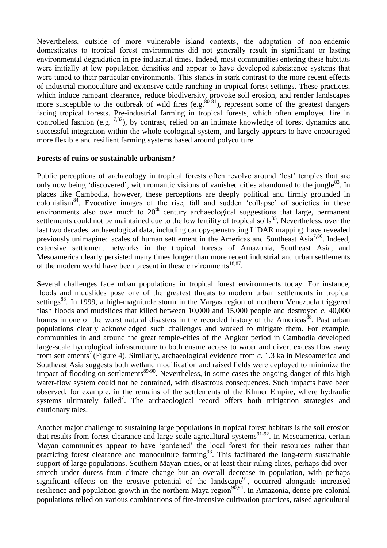Nevertheless, outside of more vulnerable island contexts, the adaptation of non-endemic domesticates to tropical forest environments did not generally result in significant or lasting environmental degradation in pre-industrial times. Indeed, most communities entering these habitats were initially at low population densities and appear to have developed subsistence systems that were tuned to their particular environments. This stands in stark contrast to the more recent effects of industrial monoculture and extensive cattle ranching in tropical forest settings. These practices, which induce rampant clearance, reduce biodiversity, provoke soil erosion, and render landscapes more susceptible to the outbreak of wild fires (e.g.  $80-81$ ), represent some of the greatest dangers facing tropical forests. Pre-industrial farming in tropical forests, which often employed fire in controlled fashion (e.g.<sup>17,82</sup>), by contrast, relied on an intimate knowledge of forest dynamics and successful integration within the whole ecological system, and largely appears to have encouraged more flexible and resilient farming systems based around polyculture.

## **Forests of ruins or sustainable urbanism?**

Public perceptions of archaeology in tropical forests often revolve around 'lost' temples that are only now being 'discovered', with romantic visions of vanished cities abandoned to the jungle<sup>83</sup>. In places like Cambodia, however, these perceptions are deeply political and firmly grounded in colonialism $84$ . Evocative images of the rise, fall and sudden 'collapse' of societies in these environments also owe much to  $20<sup>th</sup>$  century archaeological suggestions that large, permanent settlements could not be maintained due to the low fertility of tropical soils<sup>85</sup>. Nevertheless, over the last two decades, archaeological data, including canopy-penetrating LiDAR mapping, have revealed previously unimagined scales of human settlement in the Americas and Southeast Asia<sup>7,86</sup>. Indeed, extensive settlement networks in the tropical forests of Amazonia, Southeast Asia, and Mesoamerica clearly persisted many times longer than more recent industrial and urban settlements of the modern world have been present in these environments $^{18,87}$ .

Several challenges face urban populations in tropical forest environments today. For instance, floods and mudslides pose one of the greatest threats to modern urban settlements in tropical settings<sup>88</sup>. In 1999, a high-magnitude storm in the Vargas region of northern Venezuela triggered flash floods and mudslides that killed between 10,000 and 15,000 people and destroyed *c.* 40,000 homes in one of the worst natural disasters in the recorded history of the Americas<sup>88</sup>. Past urban populations clearly acknowledged such challenges and worked to mitigate them. For example, communities in and around the great temple-cities of the Angkor period in Cambodia developed large-scale hydrological infrastructure to both ensure access to water and divert excess flow away from settlements<sup>7</sup> (Figure 4). Similarly, archaeological evidence from *c*. 1.3 ka in Mesoamerica and Southeast Asia suggests both wetland modification and raised fields were deployed to minimize the impact of flooding on settlements<sup>89-90</sup>. Nevertheless, in some cases the ongoing danger of this high water-flow system could not be contained, with disastrous consequences. Such impacts have been observed, for example, in the remains of the settlements of the Khmer Empire, where hydraulic systems ultimately failed<sup>7</sup>. The archaeological record offers both mitigation strategies and cautionary tales.

Another major challenge to sustaining large populations in tropical forest habitats is the soil erosion that results from forest clearance and large-scale agricultural systems<sup>91-92</sup>. In Mesoamerica, certain Mayan communities appear to have 'gardened' the local forest for their resources rather than practicing forest clearance and monoculture farming<sup>93</sup>. This facilitated the long-term sustainable support of large populations. Southern Mayan cities, or at least their ruling elites, perhaps did overstretch under duress from climate change but an overall decrease in population, with perhaps significant effects on the erosive potential of the landscape<sup>91</sup>, occurred alongside increased resilience and population growth in the northern Maya region<sup>90,94</sup>. In Amazonia, dense pre-colonial populations relied on various combinations of fire-intensive cultivation practices, raised agricultural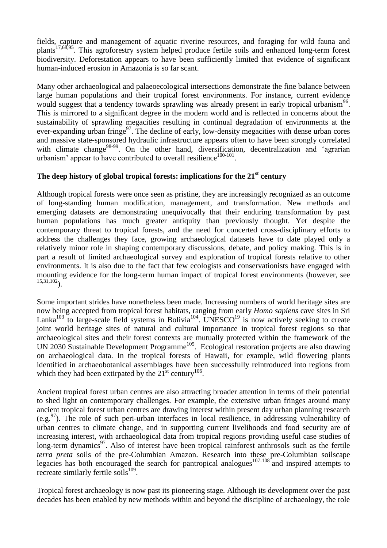fields, capture and management of aquatic riverine resources, and foraging for wild fauna and plants<sup>17,68,95</sup>. This agroforestry system helped produce fertile soils and enhanced long-term forest biodiversity. Deforestation appears to have been sufficiently limited that evidence of significant human-induced erosion in Amazonia is so far scant.

Many other archaeological and palaeoecological intersections demonstrate the fine balance between large human populations and their tropical forest environments. For instance, current evidence would suggest that a tendency towards sprawling was already present in early tropical urbanism<sup>96</sup>. This is mirrored to a significant degree in the modern world and is reflected in concerns about the sustainability of sprawling megacities resulting in continual degradation of environments at the ever-expanding urban fringe<sup>97</sup>. The decline of early, low-density megacities with dense urban cores and massive state-sponsored hydraulic infrastructure appears often to have been strongly correlated with climate change<sup>98-99</sup>. On the other hand, diversification, decentralization and 'agrarian urbanism' appear to have contributed to overall resilience  $100-101$ .

# **The deep history of global tropical forests: implications for the 21st century**

Although tropical forests were once seen as pristine, they are increasingly recognized as an outcome of long-standing human modification, management, and transformation. New methods and emerging datasets are demonstrating unequivocally that their enduring transformation by past human populations has much greater antiquity than previously thought. Yet despite the contemporary threat to tropical forests, and the need for concerted cross-disciplinary efforts to address the challenges they face, growing archaeological datasets have to date played only a relatively minor role in shaping contemporary discussions, debate, and policy making. This is in part a result of limited archaeological survey and exploration of tropical forests relative to other environments. It is also due to the fact that few ecologists and conservationists have engaged with mounting evidence for the long-term human impact of tropical forest environments (however, see  $15,31,102$ 

Some important strides have nonetheless been made. Increasing numbers of world heritage sites are now being accepted from tropical forest habitats, ranging from early *Homo sapiens* cave sites in Sri Lanka<sup>103</sup> to large-scale field systems in Bolivia<sup>104</sup>. UNESCO<sup>19</sup> is now actively seeking to create joint world heritage sites of natural and cultural importance in tropical forest regions so that archaeological sites and their forest contexts are mutually protected within the framework of the UN 2030 Sustainable Development Programme<sup>105</sup>. Ecological restoration projects are also drawing on archaeological data. In the tropical forests of Hawaii, for example, wild flowering plants identified in archaeobotanical assemblages have been successfully reintroduced into regions from which they had been extirpated by the  $21^{\text{st}}$  century<sup>106</sup>.

Ancient tropical forest urban centres are also attracting broader attention in terms of their potential to shed light on contemporary challenges. For example, the extensive urban fringes around many ancient tropical forest urban centres are drawing interest within present day urban planning research  $(e.g.<sup>97</sup>)$ . The role of such peri-urban interfaces in local resilience, in addressing vulnerability of urban centres to climate change, and in supporting current livelihoods and food security are of increasing interest, with archaeological data from tropical regions providing useful case studies of long-term dynamics<sup>97</sup>. Also of interest have been tropical rainforest anthrosols such as the fertile *terra preta* soils of the pre-Columbian Amazon. Research into these pre-Columbian soilscape legacies has both encouraged the search for pantropical analogues<sup>107-108</sup> and inspired attempts to recreate similarly fertile soils<sup>109</sup>.

Tropical forest archaeology is now past its pioneering stage. Although its development over the past decades has been enabled by new methods within and beyond the discipline of archaeology, the role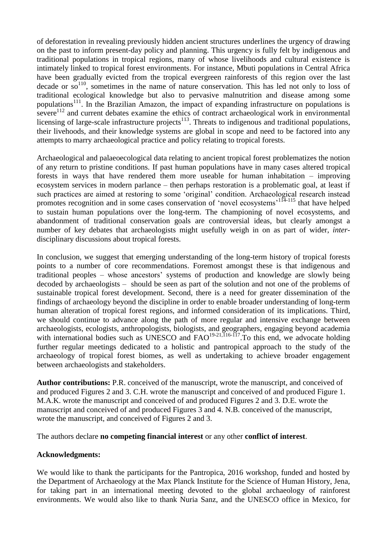of deforestation in revealing previously hidden ancient structures underlines the urgency of drawing on the past to inform present-day policy and planning. This urgency is fully felt by indigenous and traditional populations in tropical regions, many of whose livelihoods and cultural existence is intimately linked to tropical forest environments. For instance, Mbuti populations in Central Africa have been gradually evicted from the tropical evergreen rainforests of this region over the last decade or so<sup>110</sup>, sometimes in the name of nature conservation. This has led not only to loss of traditional ecological knowledge but also to pervasive malnutrition and disease among some populations<sup>111</sup>. In the Brazilian Amazon, the impact of expanding infrastructure on populations is severe<sup>112</sup> and current debates examine the ethics of contract archaeological work in environmental licensing of large-scale infrastructure projects<sup>113</sup>. Threats to indigenous and traditional populations, their livehoods, and their knowledge systems are global in scope and need to be factored into any attempts to marry archaeological practice and policy relating to tropical forests.

Archaeological and palaeoecological data relating to ancient tropical forest problematizes the notion of any return to pristine conditions. If past human populations have in many cases altered tropical forests in ways that have rendered them more useable for human inhabitation – improving ecosystem services in modern parlance – then perhaps restoration is a problematic goal, at least if such practices are aimed at restoring to some 'original' condition. Archaeological research instead promotes recognition and in some cases conservation of 'novel ecosystems'<sup>114-115</sup> that have helped to sustain human populations over the long-term. The championing of novel ecosystems, and abandonment of traditional conservation goals are controversial ideas, but clearly amongst a number of key debates that archaeologists might usefully weigh in on as part of wider, *inter*disciplinary discussions about tropical forests.

In conclusion, we suggest that emerging understanding of the long-term history of tropical forests points to a number of core recommendations. Foremost amongst these is that indigenous and traditional peoples – whose ancestors' systems of production and knowledge are slowly being decoded by archaeologists – should be seen as part of the solution and not one of the problems of sustainable tropical forest development. Second, there is a need for greater dissemination of the findings of archaeology beyond the discipline in order to enable broader understanding of long-term human alteration of tropical forest regions, and informed consideration of its implications. Third, we should continue to advance along the path of more regular and intensive exchange between archaeologists, ecologists, anthropologists, biologists, and geographers, engaging beyond academia with international bodies such as UNESCO and  $FAO^{19-21,116-117}$ . To this end, we advocate holding further regular meetings dedicated to a holistic and pantropical approach to the study of the archaeology of tropical forest biomes, as well as undertaking to achieve broader engagement between archaeologists and stakeholders.

**Author contributions:** P.R. conceived of the manuscript, wrote the manuscript, and conceived of and produced Figures 2 and 3. C.H. wrote the manuscript and conceived of and produced Figure 1. M.A.K. wrote the manuscript and conceived of and produced Figures 2 and 3. D.E. wrote the manuscript and conceived of and produced Figures 3 and 4. N.B. conceived of the manuscript, wrote the manuscript, and conceived of Figures 2 and 3.

The authors declare **no competing financial interest** or any other **conflict of interest**.

# **Acknowledgments:**

We would like to thank the participants for the Pantropica, 2016 workshop, funded and hosted by the Department of Archaeology at the Max Planck Institute for the Science of Human History, Jena, for taking part in an international meeting devoted to the global archaeology of rainforest environments. We would also like to thank Nuria Sanz, and the UNESCO office in Mexico, for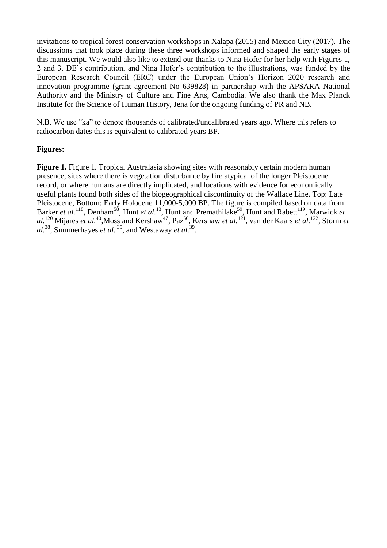invitations to tropical forest conservation workshops in Xalapa (2015) and Mexico City (2017). The discussions that took place during these three workshops informed and shaped the early stages of this manuscript. We would also like to extend our thanks to Nina Hofer for her help with Figures 1, 2 and 3. DE's contribution, and Nina Hofer's contribution to the illustrations, was funded by the European Research Council (ERC) under the European Union's Horizon 2020 research and innovation programme (grant agreement No 639828) in partnership with the APSARA National Authority and the Ministry of Culture and Fine Arts, Cambodia. We also thank the Max Planck Institute for the Science of Human History, Jena for the ongoing funding of PR and NB.

N.B. We use "ka" to denote thousands of calibrated/uncalibrated years ago. Where this refers to radiocarbon dates this is equivalent to calibrated years BP.

## **Figures:**

Figure 1. Figure 1. Tropical Australasia showing sites with reasonably certain modern human presence, sites where there is vegetation disturbance by fire atypical of the longer Pleistocene record, or where humans are directly implicated, and locations with evidence for economically useful plants found both sides of the biogeographical discontinuity of the Wallace Line. Top: Late Pleistocene, Bottom: Early Holocene 11,000-5,000 BP. The figure is compiled based on data from Barker *et al.*<sup>118</sup>, Denham<sup>58</sup>, Hunt *et al.*<sup>13</sup>, Hunt and Premathilake<sup>59</sup>, Hunt and Rabett<sup>119</sup>, Marwick *et* al.<sup>120</sup> Mijares *et al.*<sup>40</sup>,Moss and Kershaw<sup>47</sup>, Paz<sup>56</sup>, Kershaw *et al.*<sup>121</sup>, van der Kaars *et al.*<sup>122</sup>, Storm *et al.*<sup>38</sup> , Summerhayes *et al.* <sup>35</sup> , and Westaway *et al.*<sup>39</sup> .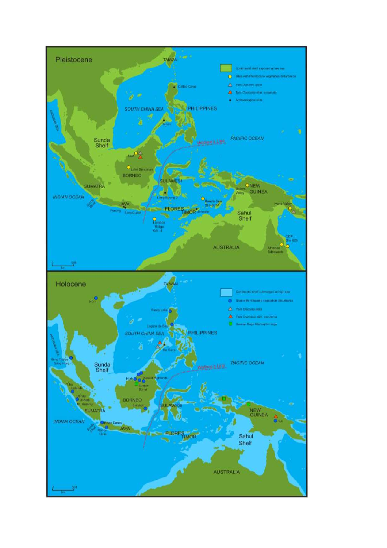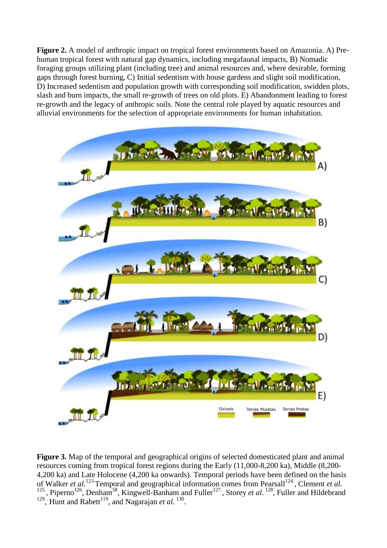**Figure 2.** A model of anthropic impact on tropical forest environments based on Amazonia. A) Prehuman tropical forest with natural gap dynamics, including megafaunal impacts, B) Nomadic foraging groups utilizing plant (including tree) and animal resources and, where desirable, forming gaps through forest burning, C) Initial sedentism with house gardens and slight soil modification, D) Increased sedentism and population growth with corresponding soil modification, swidden plots, slash and burn impacts, the small re-growth of trees on old plots. E) Abandonment leading to forest re-growth and the legacy of anthropic soils. Note the central role played by aquatic resources and alluvial environments for the selection of appropriate environments for human inhabitation.



**Figure 3.** Map of the temporal and geographical origins of selected domesticated plant and animal resources coming from tropical forest regions during the Early (11,000-8,200 ka), Middle (8,200- 4,200 ka) and Late Holocene (4,200 ka onwards). Temporal periods have been defined on the basis of Walker *et al.*<sup>123</sup> Temporal and geographical information comes from Pearsall<sup>124</sup>, Clement *et al.*<sup>125</sup>, Piperno<sup>126</sup>, Denham<sup>58</sup>, Kingwell-Banham and Fuller<sup>127</sup>, Storey *et al.*<sup>128</sup>, Fuller and Hildebrand<sup>129</sup>, H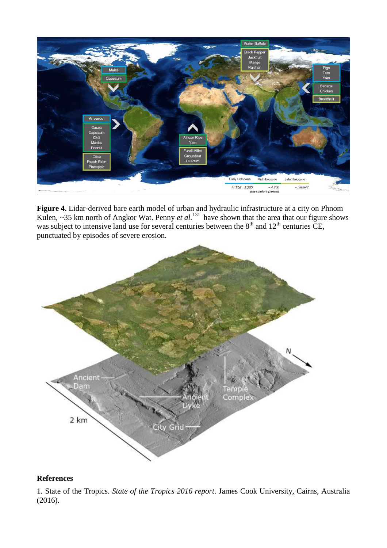

**Figure 4.** Lidar-derived bare earth model of urban and hydraulic infrastructure at a city on Phnom Kulen, ~35 km north of Angkor Wat. Penny *et al*.<sup>131</sup> have shown that the area that our figure shows was subject to intensive land use for several centuries between the  $8<sup>th</sup>$  and  $12<sup>th</sup>$  centuries CE, punctuated by episodes of severe erosion.



### **References**

1. State of the Tropics. *State of the Tropics 2016 report*. James Cook University, Cairns, Australia (2016).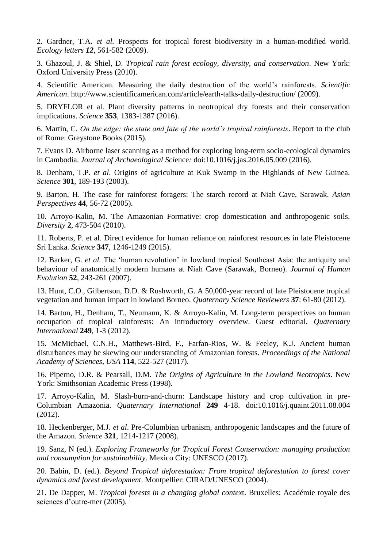2. Gardner, T.A. *et al.* Prospects for tropical forest biodiversity in a human-modified world. *Ecology letters 12*, 561-582 (2009).

3. Ghazoul, J. & Shiel, D. *Tropical rain forest ecology, diversity, and conservation*. New York: Oxford University Press (2010).

4. Scientific American. Measuring the daily destruction of the world's rainforests. *Scientific American*.<http://www.scientificamerican.com/article/earth-talks-daily-destruction/> (2009).

5. DRYFLOR et al. Plant diversity patterns in neotropical dry forests and their conservation implications. *Science* **353**, 1383-1387 (2016).

6. Martin, C. *On the edge: the state and fate of the world's tropical rainforests*. Report to the club of Rome: Greystone Books (2015).

7. Evans D. Airborne laser scanning as a method for exploring long-term socio-ecological dynamics in Cambodia. *Journal of Archaeological Sci*ence*:* doi:10.1016/j.jas.2016.05.009 (2016).

8. Denham, T.P. *et al*. Origins of agriculture at Kuk Swamp in the Highlands of New Guinea. *Science* **301**, 189-193 (2003).

9. Barton, H. The case for rainforest foragers: The starch record at Niah Cave, Sarawak. *Asian Perspectives* **44**, 56-72 (2005).

10. Arroyo-Kalin, M. [The Amazonian Formative: crop domestication and anthropogenic soils.](https://iris.ucl.ac.uk/iris/publication/382936/1) *Diversity* **2**, 473-504 (2010).

11. Roberts, P. et al. Direct evidence for human reliance on rainforest resources in late Pleistocene Sri Lanka. *Science* **347**, 1246-1249 (2015).

12. Barker, G. *et al.* The 'human revolution' in lowland tropical Southeast Asia: the antiquity and behaviour of anatomically modern humans at Niah Cave (Sarawak, Borneo). *Journal of Human Evolution* **52**, 243-261 (2007).

13. Hunt, C.O., Gilbertson, D.D. & Rushworth, G. A 50,000-year record of late Pleistocene tropical vegetation and human impact in lowland Borneo. *Quaternary Science Reviewers* **37**: 61-80 (2012).

14. Barton, H., Denham, T., Neumann, K. & Arroyo-Kalin, M. Long-term perspectives on human occupation of tropical rainforests: An introductory overview. Guest editorial. *Quaternary International* **249**, 1-3 (2012).

15. McMichael, C.N.H., Matthews-Bird, F., Farfan-Rios, W. & Feeley, K.J. Ancient human disturbances may be skewing our understanding of Amazonian forests. *Proceedings of the National Academy of Sciences, USA* **114**, 522-527 (2017).

16. Piperno, D.R. & Pearsall, D.M. *The Origins of Agriculture in the Lowland Neotropics*. New York: Smithsonian Academic Press (1998).

17. Arroyo-Kalin, M. [Slash-burn-and-churn: Landscape history and crop cultivation in pre-](https://iris.ucl.ac.uk/iris/publication/393914/7)[Columbian Amazonia.](https://iris.ucl.ac.uk/iris/publication/393914/7) *Quaternary International* **249** 4-18. doi:10.1016/j.quaint.2011.08.004 (2012).

18. Heckenberger, M.J. *et al*. Pre-Columbian urbanism, anthropogenic landscapes and the future of the Amazon. *Science* **321**, 1214-1217 (2008).

19. Sanz, N (ed.). *Exploring Frameworks for Tropical Forest Conservation: managing production and consumption for sustainability*. Mexico City: UNESCO (2017).

20. Babin, D. (ed.). *Beyond Tropical deforestation: From tropical deforestation to forest cover dynamics and forest development*. Montpellier: CIRAD/UNESCO (2004).

21. De Dapper, M. *Tropical forests in a changing global contex*t. Bruxelles: Académie royale des sciences d'outre-mer (2005).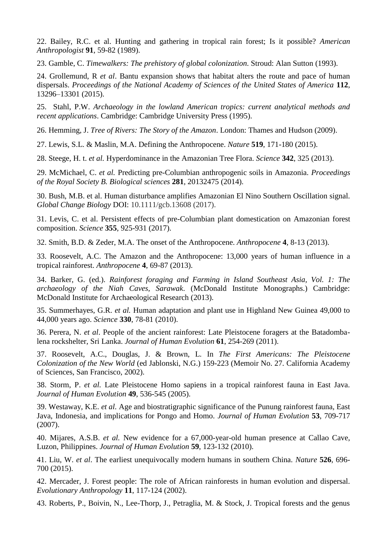22. Bailey, R.C. et al. Hunting and gathering in tropical rain forest; Is it possible? *American Anthropologist* **91**, 59-82 (1989).

23. Gamble, C. *Timewalkers: The prehistory of global colonization*. Stroud: Alan Sutton (1993).

24. Grollemund, R *et al*. Bantu expansion shows that habitat alters the route and pace of human dispersals. *Proceedings of the National Academy of Sciences of the United States of America* **112**, 13296–13301 (2015).

25. Stahl, P.W. *Archaeology in the lowland American tropics: current analytical methods and recent applications*. Cambridge: Cambridge University Press (1995).

26. Hemming, J. *Tree of Rivers: The Story of the Amazon*. London: Thames and Hudson (2009).

27. Lewis, S.L. & Maslin, M.A. Defining the Anthropocene. *Nature* **519**, 171-180 (2015).

28. Steege, H. t. *et al.* Hyperdominance in the Amazonian Tree Flora. *Science* **342**, 325 (2013).

29. McMichael, C. *et al.* Predicting pre-Columbian anthropogenic soils in Amazonia. *Proceedings of the Royal Society B. Biological sciences* **281**, 20132475 (2014).

30. Bush, M.B. et al. Human disturbance amplifies Amazonian El Nino Southern Oscillation signal. *Global Change Biology* DOI: 10.1111/gcb.13608 (2017).

31. Levis, C. et al. Persistent effects of pre-Columbian plant domestication on Amazonian forest composition. *Science* **355**, 925-931 (2017).

32. Smith, B.D. & Zeder, M.A. The onset of the Anthropocene. *Anthropocene* **4**, 8-13 (2013).

33. Roosevelt, A.C. The Amazon and the Anthropocene: 13,000 years of human influence in a tropical rainforest. *Anthropocene* **4**, 69-87 (2013).

34. Barker, G. (ed.). *Rainforest foraging and Farming in Island Southeast Asia, Vol. 1: The archaeology of the Niah Caves, Sarawak*. (McDonald Institute Monographs.) Cambridge: McDonald Institute for Archaeological Research (2013).

35. Summerhayes, G.R. *et al.* Human adaptation and plant use in Highland New Guinea 49,000 to 44,000 years ago. *Science* **330**, 78-81 (2010).

36. Perera, N. *et al*. People of the ancient rainforest: Late Pleistocene foragers at the Batadombalena rockshelter, Sri Lanka. *Journal of Human Evolution* **61**, 254-269 (2011).

37. Roosevelt, A.C., Douglas, J. & Brown, L. In *The First Americans: The Pleistocene Colonization of the New World* (ed Jablonski, N.G.) 159-223 (Memoir No. 27. California Academy of Sciences, San Francisco, 2002).

38. Storm, P. *et al.* Late Pleistocene Homo sapiens in a tropical rainforest fauna in East Java. *Journal of Human Evolution* **49**, 536-545 (2005).

39. Westaway, K.E. *et al.* Age and biostratigraphic significance of the Punung rainforest fauna, East Java, Indonesia, and implications for Pongo and Homo. *Journal of Human Evolution* **53**, 709-717 (2007).

40. Mijares, A.S.B. *et al.* New evidence for a 67,000-year-old human presence at Callao Cave, Luzon, Philippines. *Journal of Human Evolution* **59**, 123-132 (2010).

41. Liu, W. *et al*. The earliest unequivocally modern humans in southern China. *Nature* **526**, 696- 700 (2015).

42. Mercader, J. Forest people: The role of African rainforests in human evolution and dispersal. *Evolutionary Anthropology* **11**, 117-124 (2002).

43. Roberts, P., Boivin, N., Lee-Thorp, J., Petraglia, M. & Stock, J. Tropical forests and the genus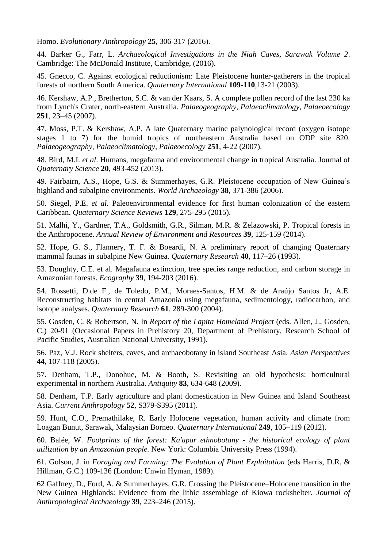Homo. *Evolutionary Anthropology* **25**, 306-317 (2016).

44. Barker G., Farr, L. *Archaeological Investigations in the Niah Caves, Sarawak Volume 2*. Cambridge: The McDonald Institute, Cambridge, (2016).

45. Gnecco, C. Against ecological reductionism: Late Pleistocene hunter-gatherers in the tropical forests of northern South America. *Quaternary International* **109-110**,13-21 (2003).

46. Kershaw, A.P., Bretherton, S.C. & van der Kaars, S. A complete pollen record of the last 230 ka from Lynch's Crater, north-eastern Australia. *Palaeogeography, Palaeoclimatology, Palaeoecology* **251**, 23–45 (2007).

47. Moss, P.T. & Kershaw, A.P. A late Quaternary marine palynological record (oxygen isotope stages 1 to 7) for the humid tropics of northeastern Australia based on ODP site 820. *Palaeogeography, Palaeoclimatology, Palaeoecology* **251**, 4-22 (2007).

48. Bird, M.I. *et al*. Humans, megafauna and environmental change in tropical Australia. Journal of *Quaternary Science* **20**, 493-452 (2013).

49. Fairbairn, A.S., Hope, G.S. & Summerhayes, G.R. Pleistocene occupation of New Guinea's highland and subalpine environments. *World Archaeology* **38**, 371-386 (2006).

50. Siegel, P.E. *et al.* Paleoenvironmental evidence for first human colonization of the eastern Caribbean. *Quaternary Science Reviews* **129**, 275-295 (2015).

51. Malhi, Y., Gardner, T.A., Goldsmith, G.R., Silman, M.R. & Zelazowski, P. Tropical forests in the Anthropocene. *Annual Review of Environment and Resources* **39**, 125-159 (2014).

52. Hope, G. S., Flannery, T. F. & Boeardi, N. A preliminary report of changing Quaternary mammal faunas in subalpine New Guinea. *Quaternary Research* **40**, 117–26 (1993).

53. Doughty, C.E. et al. Megafauna extinction, tree species range reduction, and carbon storage in Amazonian forests. *Ecography* **39**, 194-203 (2016).

54. Rossetti, D.de F., de Toledo, P.M., Moraes-Santos, H.M. & de Araújo Santos Jr, A.E. Reconstructing habitats in central Amazonia using megafauna, sedimentology, radiocarbon, and isotope analyses. *Quaternary Research* **61**, 289-300 (2004).

55. Gosden, C. & Robertson, N. In *Report of the Lapita Homeland Project* (eds. Allen, J., Gosden, C.) 20-91 (Occasional Papers in Prehistory 20, Department of Prehistory, Research School of Pacific Studies, Australian National University, 1991).

56. Paz, V.J. Rock shelters, caves, and archaeobotany in island Southeast Asia. *Asian Perspectives*  **44**, 107-118 (2005).

57. Denham, T.P., Donohue, M. & Booth, S. Revisiting an old hypothesis: horticultural experimental in northern Australia. *Antiquity* **83**, 634-648 (2009).

58. Denham, T.P. Early agriculture and plant domestication in New Guinea and Island Southeast Asia. *Current Anthropology* **52**, S379-S395 (2011).

59. Hunt, C.O., Premathilake, R. Early Holocene vegetation, human activity and climate from Loagan Bunut, Sarawak, Malaysian Borneo. *Quaternary International* **249**, 105–119 (2012).

60. Balée, W. *Footprints of the forest: Ka'apar ethnobotany - the historical ecology of plant utilization by an Amazonian people.* New York: Columbia University Press (1994).

61. Golson, J. in *Foraging and Farming: The Evolution of Plant Exploitation* (eds Harris, D.R. & Hillman, G.C.) 109-136 (London: Unwin Hyman, 1989).

62 Gaffney, D., Ford, A. & Summerhayes, G.R. Crossing the Pleistocene–Holocene transition in the New Guinea Highlands: Evidence from the lithic assemblage of Kiowa rockshelter. *Journal of Anthropological Archaeology* **39**, 223–246 (2015).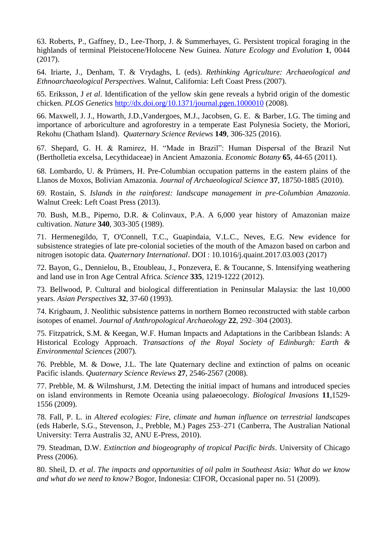63. Roberts, P., Gaffney, D., Lee-Thorp, J. & Summerhayes, G. Persistent tropical foraging in the highlands of terminal Pleistocene/Holocene New Guinea. *Nature Ecology and Evolution* **1**, 0044 (2017).

64. Iriarte, J., Denham, T. & Vrydaghs, L (eds). *Rethinking Agriculture: Archaeological and Ethnoarchaeological Perspectives*. Walnut, California: Left Coast Press (2007).

65. Eriksson, J *et al*. Identification of the yellow skin gene reveals a hybrid origin of the domestic chicken. *PLOS Genetics* <http://dx.doi.org/10.1371/journal.pgen.1000010> (2008).

66. Maxwell, J. J., Howarth, J.D.,Vandergoes, M.J., Jacobsen, G. E. & Barber, I.G. The timing and importance of arboriculture and agroforestry in a temperate East Polynesia Society, the Moriori, Rekohu (Chatham Island). *Quaternary Science Reviews* **149**, 306-325 (2016).

67. Shepard, G. H. & Ramirez, H. "Made in Brazil": Human Dispersal of the Brazil Nut (Bertholletia excelsa, Lecythidaceae) in Ancient Amazonia. *Economic Botany* **65**, 44-65 (2011).

68. Lombardo, U. & Prümers, H. Pre-Columbian occupation patterns in the eastern plains of the Llanos de Moxos, Bolivian Amazonia. *Journal of Archaeological Science* **37**, 18750-1885 (2010).

69. Rostain, S. *Islands in the rainforest: landscape management in pre-Columbian Amazonia*. Walnut Creek: Left Coast Press (2013).

70. Bush, M.B., Piperno, D.R. & Colinvaux, P.A. A 6,000 year history of Amazonian maize cultivation. *Nature* **340**, 303-305 (1989).

71. Hermenegildo, T, O'Connell, T.C., Guapindaia, V.L.C., Neves, E.G. New evidence for subsistence strategies of late pre-colonial societies of the mouth of the Amazon based on carbon and nitrogen isotopic data. *Quaternary International*. DOI : 10.1016/j.quaint.2017.03.003 (2017)

72. Bayon, G., Dennielou, B., Etoubleau, J., Ponzevera, E. & Toucanne, S. Intensifying weathering and land use in Iron Age Central Africa. *Science* **335**, 1219-1222 (2012).

73. Bellwood, P. Cultural and biological differentiation in Peninsular Malaysia: the last 10,000 years. *Asian Perspectives* **32**, 37-60 (1993).

74. Krigbaum, J. Neolithic subsistence patterns in northern Borneo reconstructed with stable carbon isotopes of enamel. *Journal of Anthropological Archaeology* **22**, 292–304 (2003).

75. Fitzpatrick, S.M. & Keegan, W.F. Human Impacts and Adaptations in the Caribbean Islands: A Historical Ecology Approach. *Transactions of the Royal Society of Edinburgh: Earth & Environmental Sciences* (2007)*.*

76. Prebble, M. & Dowe, J.L. The late Quaternary decline and extinction of palms on oceanic Pacific islands. *Quaternary Science Reviews* **27**, 2546-2567 (2008).

77. Prebble, M. & Wilmshurst, J.M. Detecting the initial impact of humans and introduced species on island environments in Remote Oceania using palaeoecology. *Biological Invasions* **11**,1529- 1556 (2009).

78. Fall, P. L. in *Altered ecologies: Fire, climate and human influence on terrestrial landscapes* (eds Haberle, S.G., Stevenson, J., Prebble, M.) Pages 253–271 (Canberra, The Australian National University: Terra Australis 32, ANU E-Press, 2010).

79. Steadman, D.W. *Extinction and biogeography of tropical Pacific birds*. University of Chicago Press (2006).

80. Sheil, D. *et al*. *The impacts and opportunities of oil palm in Southeast Asia: What do we know and what do we need to know?* Bogor, Indonesia: CIFOR, Occasional paper no. 51 (2009).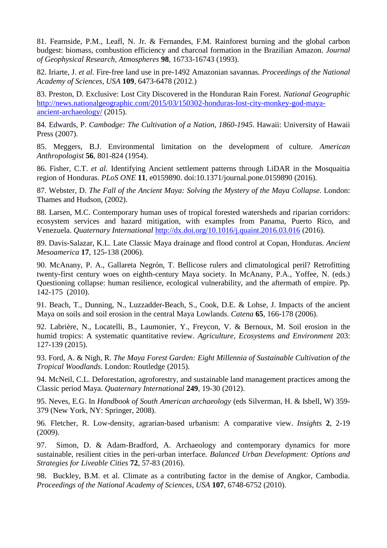81. Fearnside, P.M., Leafl, N. Jr. & Fernandes, F.M. Rainforest burning and the global carbon budgest: biomass, combustion efficiency and charcoal formation in the Brazilian Amazon. *Journal of Geophysical Research, Atmospheres* **98**, 16733-16743 (1993).

82. Iriarte, J. *et al.* Fire-free land use in pre-1492 Amazonian savannas. *Proceedings of the National Academy of Sciences, USA* **109**, 6473-6478 (2012.)

83. Preston, D. Exclusive: Lost City Discovered in the Honduran Rain Forest. *National Geographic* [http://news.nationalgeographic.com/2015/03/150302-honduras-lost-city-monkey-god-maya](http://news.nationalgeographic.com/2015/03/150302-honduras-lost-city-monkey-god-maya-ancient-archaeology/)[ancient-archaeology/](http://news.nationalgeographic.com/2015/03/150302-honduras-lost-city-monkey-god-maya-ancient-archaeology/) (2015).

84. Edwards, P. *Cambodge: The Cultivation of a Nation, 1860-1945*. Hawaii: University of Hawaii Press (2007).

85. Meggers, B.J. Environmental limitation on the development of culture. *American Anthropologist* **56**, 801-824 (1954).

86. Fisher, C.T. *et al.* Identifying Ancient settlement patterns through LiDAR in the Mosquaitia region of Honduras. *PLoS ONE* **11**, e0159890. doi:10.1371/journal.pone.0159890 (2016).

87. Webster, D. *The Fall of the Ancient Maya: Solving the Mystery of the Maya Collapse*. London: Thames and Hudson, (2002).

88. Larsen, M.C. Contemporary human uses of tropical forested watersheds and riparian corridors: ecosystem services and hazard mitigation, with examples from Panama, Puerto Rico, and Venezuela. *Quaternary International* <http://dx.doi.org/10.1016/j.quaint.2016.03.016> (2016).

89. Davis-Salazar, K.L. Late Classic Maya drainage and flood control at Copan, Honduras. *Ancient Mesoamerica* **17**, 125-138 (2006).

90. McAnany, P. A., Gallareta Negrón, T. Bellicose rulers and climatological peril? Retrofitting twenty-first century woes on eighth-century Maya society. In McAnany, P.A., Yoffee, N. (eds.) Questioning collapse: human resilience, ecological vulnerability, and the aftermath of empire. Pp. 142-175 (2010).

91. Beach, T., Dunning, N., Luzzadder-Beach, S., Cook, D.E. & Lohse, J. Impacts of the ancient Maya on soils and soil erosion in the central Maya Lowlands. *Catena* **65**, 166-178 (2006).

92. Labrière, N., Locatelli, B., Laumonier, Y., Freycon, V. & Bernoux, M. Soil erosion in the humid tropics: A systematic quantitative review. *Agriculture, Ecosystems and Environment* 203: 127-139 (2015).

93. Ford, A. & Nigh, R. *The Maya Forest Garden: Eight Millennia of Sustainable Cultivation of the Tropical Woodlands*. London: Routledge (2015).

94. McNeil, C.L. Deforestation, agroforestry, and sustainable land management practices among the Classic period Maya. *Quaternary International* **249**, 19-30 (2012).

95. Neves, E.G. In *Handbook of South American archaeology* (eds Silverman, H. & Isbell, W) 359- 379 (New York, NY: Springer, 2008).

96. Fletcher, R. Low-density, agrarian-based urbanism: A comparative view. *Insights* **2**, 2-19 (2009).

97. Simon, D. & Adam-Bradford, A. Archaeology and contemporary dynamics for more sustainable, resilient cities in the peri-urban interface. *Balanced Urban Development: Options and Strategies for Liveable Cities* **72**, 57-83 (2016).

98. Buckley, B.M. et al. Climate as a contributing factor in the demise of Angkor, Cambodia. *Proceedings of the National Academy of Sciences, USA* **107**, 6748-6752 (2010).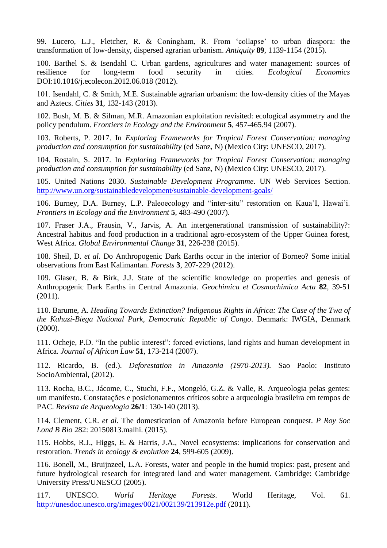99. Lucero, L.J., Fletcher, R. & Coningham, R. From 'collapse' to urban diaspora: the transformation of low-density, dispersed agrarian urbanism. *Antiquity* **89**, 1139-1154 (2015).

100. Barthel S. & Isendahl C. Urban gardens, agricultures and water management: sources of resilience for long-term food security in cities. *Ecological Economics* DOI:10.1016/j.ecolecon.2012.06.018 (2012).

101. Isendahl, C. & Smith, M.E. Sustainable agrarian urbanism: the low-density cities of the Mayas and Aztecs. *Cities* **31**, 132-143 (2013).

102. Bush, M. B. & Silman, M.R. Amazonian exploitation revisited: ecological asymmetry and the policy pendulum. *Frontiers in Ecology and the Environment* **5**, 457-465.94 (2007).

103. Roberts, P. 2017. In *Exploring Frameworks for Tropical Forest Conservation: managing production and consumption for sustainability* (ed Sanz, N) (Mexico City: UNESCO, 2017).

104. Rostain, S. 2017. In *Exploring Frameworks for Tropical Forest Conservation: managing production and consumption for sustainability* (ed Sanz, N) (Mexico City: UNESCO, 2017).

105. United Nations 2030. *Sustainable Development Programme*. UN Web Services Section. <http://www.un.org/sustainabledevelopment/sustainable-development-goals/>

106. Burney, D.A. Burney, L.P. Paleoecology and "inter-situ" restoration on Kaua'I, Hawai'i. *Frontiers in Ecology and the Environment* **5**, 483-490 (2007).

107. Fraser J.A., Frausin, V., Jarvis, A. An intergenerational transmission of sustainability?: Ancestral habitus and food production in a traditional agro-ecosystem of the Upper Guinea forest, West Africa. *Global Environmental Change* **31**, 226-238 (2015).

108. Sheil, D. *et al.* Do Anthropogenic Dark Earths occur in the interior of Borneo? Some initial observations from East Kalimantan. *Forests* **3**, 207-229 (2012).

109. Glaser, B. & Birk, J.J. State of the scientific knowledge on properties and genesis of Anthropogenic Dark Earths in Central Amazonia. *Geochimica et Cosmochimica Acta* **82**, 39-51 (2011).

110. Barume, A. *Heading Towards Extinction? Indigenous Rights in Africa: The Case of the Twa of the Kahuzi-Biega National Park, Democratic Republic of Congo*. Denmark: IWGIA, Denmark (2000).

111. Ocheje, P.D. "In the public interest": forced evictions, land rights and human development in Africa. *Journal of African Law* **51**, 173-214 (2007).

112. Ricardo, B. (ed.). *Deforestation in Amazonia (1970-2013).* Sao Paolo: Instituto SocioAmbiental, (2012).

113. Rocha, B.C., Jácome, C., Stuchi, F.F., Mongeló, G.Z. & Valle, R. Arqueologia pelas gentes: um manifesto. Constatações e posicionamentos críticos sobre a arqueologia brasileira em tempos de PAC. *Revista de Arqueologia* **26/1**: 130-140 (2013).

114. Clement, C.R. *et al.* The domestication of Amazonia before European conquest. *P Roy Soc Lond B Bio* 282: 20150813.malhi. (2015).

115. Hobbs, R.J., Higgs, E. & Harris, J.A., Novel ecosystems: implications for conservation and restoration. *Trends in ecology & evolution* **24**, 599-605 (2009).

116. Bonell, M., Bruijnzeel, L.A. Forests, water and people in the humid tropics: past, present and future hydrological research for integrated land and water management. Cambridge: Cambridge University Press/UNESCO (2005).

117. UNESCO. *World Heritage Forests*. World Heritage, Vol. 61. [http://unesdoc.unesco.org/images/0021/002139/213912e.pdf](https://email.gwdg.de/owa/redir.aspx?C=_Qs5PV36vvrUizhUEH1r1NkWVJ47eKMUxpnPnsvcMp6FCv_rI4jUCA..&URL=http%3a%2f%2funesdoc.unesco.org%2fimages%2f0021%2f002139%2f213912e.pdf) (2011).